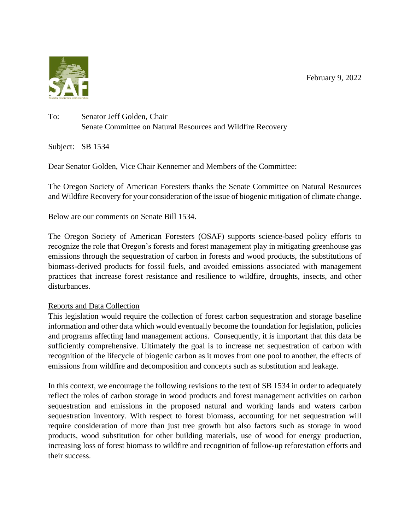February 9, 2022



## To: Senator Jeff Golden, Chair Senate Committee on Natural Resources and Wildfire Recovery

Subject: SB 1534

Dear Senator Golden, Vice Chair Kennemer and Members of the Committee:

The Oregon Society of American Foresters thanks the Senate Committee on Natural Resources and Wildfire Recovery for your consideration of the issue of biogenic mitigation of climate change.

Below are our comments on Senate Bill 1534.

The Oregon Society of American Foresters (OSAF) supports science-based policy efforts to recognize the role that Oregon's forests and forest management play in mitigating greenhouse gas emissions through the sequestration of carbon in forests and wood products, the substitutions of biomass-derived products for fossil fuels, and avoided emissions associated with management practices that increase forest resistance and resilience to wildfire, droughts, insects, and other disturbances.

#### Reports and Data Collection

This legislation would require the collection of forest carbon sequestration and storage baseline information and other data which would eventually become the foundation for legislation, policies and programs affecting land management actions. Consequently, it is important that this data be sufficiently comprehensive. Ultimately the goal is to increase net sequestration of carbon with recognition of the lifecycle of biogenic carbon as it moves from one pool to another, the effects of emissions from wildfire and decomposition and concepts such as substitution and leakage.

In this context, we encourage the following revisions to the text of SB 1534 in order to adequately reflect the roles of carbon storage in wood products and forest management activities on carbon sequestration and emissions in the proposed natural and working lands and waters carbon sequestration inventory. With respect to forest biomass, accounting for net sequestration will require consideration of more than just tree growth but also factors such as storage in wood products, wood substitution for other building materials, use of wood for energy production, increasing loss of forest biomass to wildfire and recognition of follow-up reforestation efforts and their success.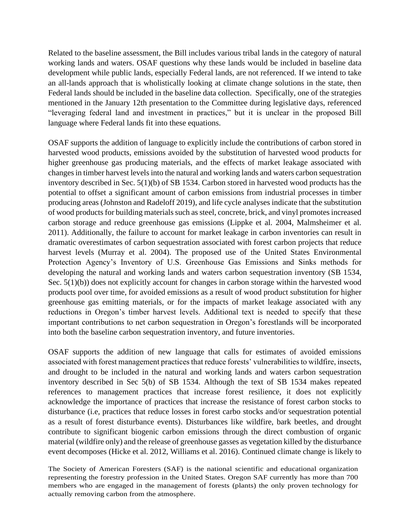Related to the baseline assessment, the Bill includes various tribal lands in the category of natural working lands and waters. OSAF questions why these lands would be included in baseline data development while public lands, especially Federal lands, are not referenced. If we intend to take an all-lands approach that is wholistically looking at climate change solutions in the state, then Federal lands should be included in the baseline data collection. Specifically, one of the strategies mentioned in the January 12th presentation to the Committee during legislative days, referenced "leveraging federal land and investment in practices," but it is unclear in the proposed Bill language where Federal lands fit into these equations.

OSAF supports the addition of language to explicitly include the contributions of carbon stored in harvested wood products, emissions avoided by the substitution of harvested wood products for higher greenhouse gas producing materials, and the effects of market leakage associated with changes in timber harvest levels into the natural and working lands and waters carbon sequestration inventory described in Sec. 5(1)(b) of SB 1534. Carbon stored in harvested wood products has the potential to offset a significant amount of carbon emissions from industrial processes in timber producing areas (Johnston and Radeloff 2019), and life cycle analyses indicate that the substitution of wood products for building materials such as steel, concrete, brick, and vinyl promotes increased carbon storage and reduce greenhouse gas emissions (Lippke et al. 2004, Malmsheimer et al. 2011). Additionally, the failure to account for market leakage in carbon inventories can result in dramatic overestimates of carbon sequestration associated with forest carbon projects that reduce harvest levels (Murray et al. 2004). The proposed use of the United States Environmental Protection Agency's Inventory of U.S. Greenhouse Gas Emissions and Sinks methods for developing the natural and working lands and waters carbon sequestration inventory (SB 1534, Sec. 5(1)(b)) does not explicitly account for changes in carbon storage within the harvested wood products pool over time, for avoided emissions as a result of wood product substitution for higher greenhouse gas emitting materials, or for the impacts of market leakage associated with any reductions in Oregon's timber harvest levels. Additional text is needed to specify that these important contributions to net carbon sequestration in Oregon's forestlands will be incorporated into both the baseline carbon sequestration inventory, and future inventories.

OSAF supports the addition of new language that calls for estimates of avoided emissions associated with forest management practices that reduce forests' vulnerabilities to wildfire, insects, and drought to be included in the natural and working lands and waters carbon sequestration inventory described in Sec 5(b) of SB 1534. Although the text of SB 1534 makes repeated references to management practices that increase forest resilience, it does not explicitly acknowledge the importance of practices that increase the resistance of forest carbon stocks to disturbance (i.e, practices that reduce losses in forest carbo stocks and/or sequestration potential as a result of forest disturbance events). Disturbances like wildfire, bark beetles, and drought contribute to significant biogenic carbon emissions through the direct combustion of organic material (wildfire only) and the release of greenhouse gasses as vegetation killed by the disturbance event decomposes (Hicke et al. 2012, Williams et al. 2016). Continued climate change is likely to

The Society of American Foresters (SAF) is the national scientific and educational organization representing the forestry profession in the United States. Oregon SAF currently has more than 700 members who are engaged in the management of forests (plants) the only proven technology for actually removing carbon from the atmosphere.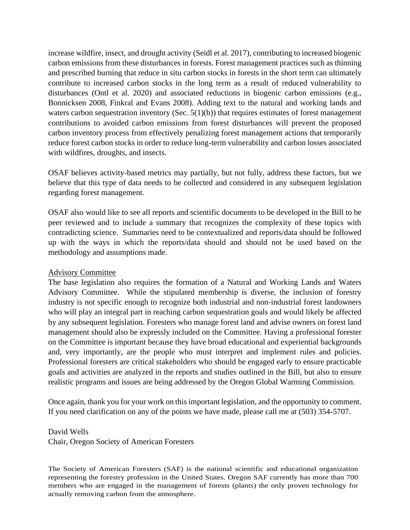increase wildfire, insect, and drought activity (Seidl et al. 2017), contributing to increased biogenic carbon emissions from these disturbances in forests. Forest management practices such as thinning and prescribed burning that reduce in situ carbon stocks in forests in the short term can ultimately contribute to increased carbon stocks in the long term as a result of reduced vulnerability to disturbances (Ontl et al. 2020) and associated reductions in biogenic carbon emissions (e.g., Bonnicksen 2008, Finkral and Evans 2008). Adding text to the natural and working lands and waters carbon sequestration inventory (Sec.  $5(1)(b)$ ) that requires estimates of forest management contributions to avoided carbon emissions from forest disturbances will prevent the proposed carbon inventory process from effectively penalizing forest management actions that temporarily reduce forest carbon stocks in order to reduce long-term vulnerability and carbon losses associated with wildfires, droughts, and insects.

OSAF believes activity-based metrics may partially, but not fully, address these factors, but we believe that this type of data needs to be collected and considered in any subsequent legislation regarding forest management.

OSAF also would like to see all reports and scientific documents to be developed in the Bill to be peer reviewed and to include a summary that recognizes the complexity of these topics with contradicting science. Summaries need to be contextualized and reports/data should be followed up with the ways in which the reports/data should and should not be used based on the methodology and assumptions made.

#### Advisory Committee

The base legislation also requires the formation of a Natural and Working Lands and Waters Advisory Committee. While the stipulated membership is diverse, the inclusion of forestry industry is not specific enough to recognize both industrial and non-industrial forest landowners who will play an integral part in reaching carbon sequestration goals and would likely be affected by any subsequent legislation. Foresters who manage forest land and advise owners on forest land management should also be expressly included on the Committee. Having a professional forester on the Committee is important because they have broad educational and experiential backgrounds and, very importantly, are the people who must interpret and implement rules and policies. Professional foresters are critical stakeholders who should be engaged early to ensure practicable goals and activities are analyzed in the reports and studies outlined in the Bill, but also to ensure realistic programs and issues are being addressed by the Oregon Global Warming Commission.

Once again, thank you for your work on this important legislation, and the opportunity to comment. If you need clarification on any of the points we have made, please call me at (503) 354-5707.

### David Wells

Chair, Oregon Society of American Foresters

The Society of American Foresters (SAF) is the national scientific and educational organization representing the forestry profession in the United States. Oregon SAF currently has more than 700 members who are engaged in the management of forests (plants) the only proven technology for actually removing carbon from the atmosphere.